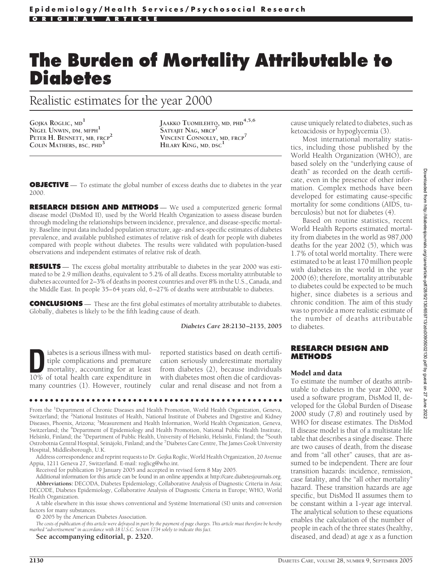# **The Burden of Mortality Attributable to Diabetes**

Realistic estimates for the year 2000

**GOJKA ROGLIC, MD<sup>1</sup> NIGEL UNWIN, DM, MFPH<sup>1</sup> PETER H. BENNETT, MB, FRCP2 COLIN MATHERS, BSC, PHD<sup>3</sup>**

**JAAKKO TUOMILEHTO, MD, PHD4,5,6 SATYAJIT** NAG, MRCP **VINCENT CONNOLLY, MD, FRCP<sup>7</sup> HILARY KING, MD, DSC<sup>1</sup>**

**OBJECTIVE** — To estimate the global number of excess deaths due to diabetes in the year 2000.

**RESEARCH DESIGN AND METHODS** — We used a computerized generic formal disease model (DisMod II), used by the World Health Organization to assess disease burden through modeling the relationships between incidence, prevalence, and disease-specific mortality. Baseline input data included population structure, age- and sex-specific estimates of diabetes prevalence, and available published estimates of relative risk of death for people with diabetes compared with people without diabetes. The results were validated with population-based observations and independent estimates of relative risk of death.

**RESULTS** — The excess global mortality attributable to diabetes in the year 2000 was estimated to be 2.9 million deaths, equivalent to 5.2% of all deaths. Excess mortality attributable to diabetes accounted for 2–3% of deaths in poorest countries and over 8% in the U.S., Canada, and the Middle East. In people 35–64 years old, 6–27% of deaths were attributable to diabetes.

**CONCLUSIONS** — These are the first global estimates of mortality attributable to diabetes. Globally, diabetes is likely to be the fifth leading cause of death.

*Diabetes Care* **28:2130 –2135, 2005**

iabetes is a serious illness with mul-<br>tiple complications and premature<br>mortality, accounting for at least tiple complications and premature mortality, accounting for at least 10% of total health care expenditure in many countries (1). However, routinely

reported statistics based on death certification seriously underestimate mortality from diabetes (2), because individuals with diabetes most often die of cardiovascular and renal disease and not from a

●●●●●●●●●●●●●●●●●●●●●●●●●●●●●●●●●●●●●●●●●●●●●●●●●

From the <sup>1</sup>Department of Chronic Diseases and Health Promotion, World Health Organization, Geneva, Switzerland; the <sup>2</sup>National Institutes of Health, National Institute of Diabetes and Digestive and Kidney Diseases, Phoenix, Arizona; <sup>3</sup>Measurement and Health Information, World Health Organization, Geneva, Switzerland; the <sup>4</sup>Department of Epidemiology and Health Promotion, National Public Health Institute, Helsinki, Finland; the <sup>5</sup>Department of Public Health, University of Helsinki, Helsinki, Finland; the <sup>6</sup>South Ostrobotnia Central Hospital, Seinäjoki, Finland; and the <sup>7</sup>Diabetes Care Centre, The James Cook University Hospital, Middlesborough, U.K.

Address correspondence and reprint requests to Dr. Gojka Roglic, World Health Organization, 20 Avenue Appia, 1211 Geneva 27, Switzerland. E-mail: roglicg@who.int.

Received for publication 19 January 2005 and accepted in revised form 8 May 2005.

Additional information for this article can be found in an online appendix at http://care.diabetesjournals.org. **Abbreviations:** DECODA, Diabetes Epidemiology, Collaborative Analysis of Diagnostic Criteria in Asia; DECODE, Diabetes Epidemiology, Collaborative Analysis of Diagnostic Criteria in Europe; WHO, World Health Organization.

A table elsewhere in this issue shows conventional and Système International (SI) units and conversion factors for many substances.

© 2005 by the American Diabetes Association.

*The costs of publication of this article were defrayed in part by the payment of page charges. This article must therefore be hereby marked "advertisement" in accordance with 18 U.S.C. Section 1734 solely to indicate this fact.*

**See accompanying editorial, p. 2320.**

cause uniquely related to diabetes, such as ketoacidosis or hypoglycemia (3).

Most international mortality statistics, including those published by the World Health Organization (WHO), are based solely on the "underlying cause of death" as recorded on the death certificate, even in the presence of other information. Complex methods have been developed for estimating cause-specific mortality for some conditions (AIDS, tuberculosis) but not for diabetes (4).

Based on routine statistics, recent World Health Reports estimated mortality from diabetes in the world as 987,000 deaths for the year 2002 (5), which was 1.7% of total world mortality. There were estimated to be at least 170 million people with diabetes in the world in the year 2000 (6); therefore, mortality attributable to diabetes could be expected to be much higher, since diabetes is a serious and chronic condition. The aim of this study was to provide a more realistic estimate of the number of deaths attributable to diabetes.

#### **RESEARCH DESIGN AND METHODS**

#### Model and data

To estimate the number of deaths attributable to diabetes in the year 2000, we used a software program, DisMod II, developed for the Global Burden of Disease 2000 study (7,8) and routinely used by WHO for disease estimates. The DisMod II disease model is that of a multistate life table that describes a single disease. There are two causes of death, from the disease and from "all other" causes, that are assumed to be independent. There are four transition hazards: incidence, remission, case fatality, and the "all other mortality" hazard. These transition hazards are age specific, but DisMod II assumes them to be constant within a 1-year age interval. The analytical solution to these equations enables the calculation of the number of people in each of the three states (healthy, diseased, and dead) at age *x* as a function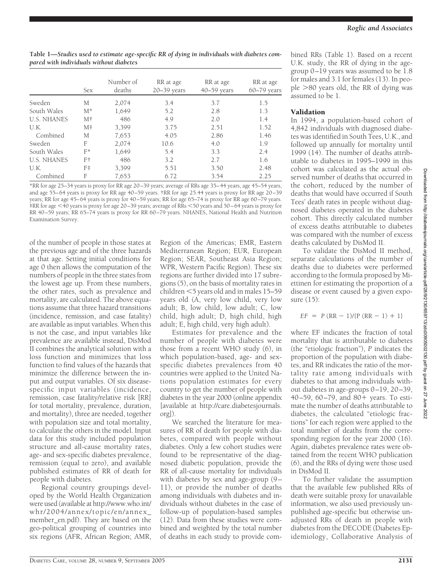|                    | <b>Sex</b>     | Number of<br>deaths | RR at age<br>$20 - 39$ years | RR at age<br>$40 - 59$ years | RR at age<br>$60 - 79$ years |  |  |
|--------------------|----------------|---------------------|------------------------------|------------------------------|------------------------------|--|--|
| Sweden             | М              | 2,074               | 3.4                          | 3.7                          | 1.5                          |  |  |
| South Wales        | $M^*$          | 1,649               | 5.2                          | 2.8                          | 1.3                          |  |  |
| U.S. NHANES        | M†             | 486                 | 4.9                          | 2.0                          | 1.4                          |  |  |
| U.K.               | $M^{\ddagger}$ | 3,399               | 3.75                         | 2.51                         | 1.52                         |  |  |
| Combined           | М              | 7,653               | 4.05                         | 2.86                         | 1.46                         |  |  |
| Sweden             | F              | 2,074               | 10.6                         | 4.0                          | 1.9                          |  |  |
| South Wales        | F*             | 1,649               | 5.4                          | 3.3                          | 2.4                          |  |  |
| <b>U.S. NHANES</b> | F†             | 486                 | 3.2                          | 2.7                          | 1.6                          |  |  |

**Table 1—***Studies used to estimate age-specific RR of dying in individuals with diabetes compared with individuals without diabetes*

\*RR for age 25–34 years is proxy for RR age 20–39 years; average of RRs age 35–44 years, age 45–54 years, and age 55–64 years is proxy for RR age 40–59 years. †RR for age 25.44 years is proxy for RR age 20–39 years; RR for age 45–64 years is proxy for 40–59 years; RR for age 65–74 is proxy for RR age 60–79 years.  $*RR$  for age  $\leq$  40 years is proxy for age 20–39 years; average of RRs  $\leq$  50 years and 50–64 years is proxy for RR 40–59 years; RR 65–74 years is proxy for RR 60–79 years. NHANES, National Health and Nutrition Examination Survey.

U.K. F‡ 3,399 5.51 3.50 2.48 Combined F 7,653 6.72 3.54 2.25

of the number of people in those states at the previous age and of the three hazards at that age. Setting initial conditions for age 0 then allows the computation of the numbers of people in the three states from the lowest age up. From these numbers, the other rates, such as prevalence and mortality, are calculated. The above equations assume that three hazard transitions (incidence, remission, and case fatality) are available as input variables. When this is not the case, and input variables like prevalence are available instead, DisMod II combines the analytical solution with a loss function and minimizes that loss function to find values of the hazards that minimize the difference between the input and output variables. Of six diseasespecific input variables (incidence, remission, case fatality/relative risk [RR] for total mortality, prevalence, duration, and mortality), three are needed, together with population size and total mortality, to calculate the others in the model. Input data for this study included population structure and all-cause mortality rates, age- and sex-specific diabetes prevalence, remission (equal to zero), and available published estimates of RR of death for people with diabetes.

Regional country groupings developed by the World Health Organization were used (available at http://www.who.int/ whr/2004/annex/topic/en/annex\_ member\_en.pdf). They are based on the geo-political grouping of countries into six regions (AFR, African Region; AMR,

Region of the Americas; EMR, Eastern Mediterranean Region; EUR, European Region; SEAR, Southeast Asia Region; WPR, Western Pacific Region). These six regions are further divided into 17 subregions (5), on the basis of mortality rates in children 5 years old and in males 15–59 years old (A, very low child, very low adult; B, low child, low adult; C, low child, high adult; D, high child, high adult; E, high child, very high adult).

Estimates for prevalence and the number of people with diabetes were those from a recent WHO study (6), in which population-based, age- and sexspecific diabetes prevalences from 40 countries were applied to the United Nations population estimates for every country to get the number of people with diabetes in the year 2000 (online appendix [available at http://care.diabetesjournals. org]).

We searched the literature for measures of RR of death for people with diabetes, compared with people without diabetes. Only a few cohort studies were found to be representative of the diagnosed diabetic population, provide the RR of all-cause mortality for individuals with diabetes by sex and age-group (9– 11), or provide the number of deaths among individuals with diabetes and individuals without diabetes in the case of follow-up of population-based samples (12). Data from these studies were combined and weighted by the total number of deaths in each study to provide combined RRs (Table 1). Based on a recent U.K. study, the RR of dying in the agegroup 0–19 years was assumed to be 1.8 for males and 3.1 for females (13). In people -80 years old, the RR of dying was assumed to be 1.

# Validation

In 1994, a population-based cohort of 4,842 individuals with diagnosed diabetes was identified in South Tees, U.K., and followed up annually for mortality until 1999 (14). The number of deaths attributable to diabetes in 1995–1999 in this cohort was calculated as the actual observed number of deaths that occurred in the cohort, reduced by the number of deaths that would have occurred if South Tees' death rates in people without diagnosed diabetes operated in the diabetes cohort. This directly calculated number of excess deaths attributable to diabetes was compared with the number of excess deaths calculated by DisMod II.

To validate the DisMod II method, separate calculations of the number of deaths due to diabetes were performed according to the formula proposed by Miettinen for estimating the proportion of a disease or event caused by a given exposure (15):

$$
EF = P (RR - 1)/{P (RR - 1) + 1}
$$

where EF indicates the fraction of total mortality that is attributable to diabetes (the "etiologic fraction"), *P* indicates the proportion of the population with diabetes, and RR indicates the ratio of the mortality rate among individuals with diabetes to that among individuals without diabetes in age-groups 0–19, 20–39, 40–59, 60–79, and 80+ years. To estimate the number of deaths attributable to diabetes, the calculated "etiologic fractions" for each region were applied to the total number of deaths from the corresponding region for the year 2000 (16). Again, diabetes prevalence rates were obtained from the recent WHO publication (6), and the RRs of dying were those used in DisMod II.

To further validate the assumption that the available few published RRs of death were suitable proxy for unavailable information, we also used previously unpublished age-specific but otherwise unadjusted RRs of death in people with diabetes from the DECODE (Diabetes Epidemiology, Collaborative Analysis of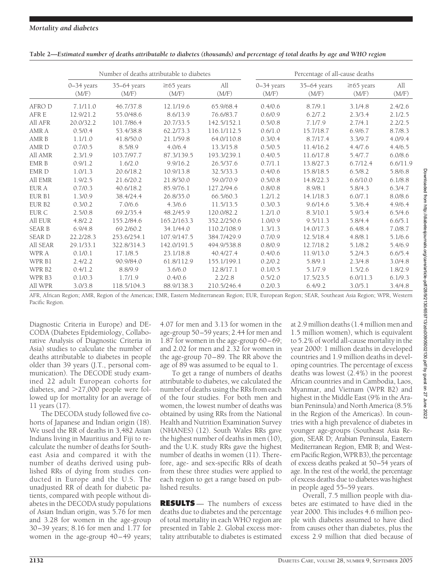## *Mortality and diabetes*

|                    | Number of deaths attributable to diabetes |                        |                          |              | Percentage of all-cause deaths |                      |                          |              |
|--------------------|-------------------------------------------|------------------------|--------------------------|--------------|--------------------------------|----------------------|--------------------------|--------------|
|                    | 0-34 years<br>(M/F)                       | $35-64$ years<br>(M/F) | $\geq$ 65 years<br>(M/F) | All<br>(M/F) | 0-34 years<br>(M/F)            | 35-64 years<br>(M/F) | $\geq$ 65 years<br>(M/F) | All<br>(M/F) |
| <b>AFROD</b>       | 7.1/11.0                                  | 46.7/37.8              | 12.1/19.6                | 65.9/68.4    | 0.4/0.6                        | 8.7/9.1              | 3.1/4.8                  | 2.4/2.6      |
| AFR E              | 12.9/21.2                                 | 55.0/48.6              | 8.6/13.9                 | 76.6/83.7    | 0.6/0.9                        | 6.2/7.2              | 2.3/3.4                  | 2.1/2.5      |
| All AFR            | 20.0/32.2                                 | 101.7/86.4             | 20.7/33.5                | 142.5/152.1  | 0.5/0.8                        | 7.1/7.9              | 2.7/4.1                  | 2.2/2.5      |
| AMR A              | 0.5/0.4                                   | 53.4/38.8              | 62.2/73.3                | 116.1/112.5  | 0.6/1.0                        | 15.7/18.7            | 6.9/6.7                  | 8.7/8.3      |
| <b>AMR B</b>       | 1.1/1.0                                   | 41.8/50.0              | 21.1/59.8                | 64.0/110.8   | 0.3/0.4                        | 8.7/17.4             | 3.3/9.7                  | 4.0/9.4      |
| AMR <sub>D</sub>   | 0.7/0.5                                   | 8.5/8.9                | 4.0/6.4                  | 13.3/15.8    | 0.5/0.5                        | 11.4/16.2            | 4.4/7.6                  | 4.4/6.5      |
| All AMR            | 2.3/1.9                                   | 103.7/97.7             | 87.3/139.5               | 193.3/239.1  | 0.4/0.5                        | 11.6/17.8            | 5.4/7.7                  | 6.0/8.6      |
| <b>EMRB</b>        | 0.9/1.2                                   | 1.6/2.0                | 9.9/16.2                 | 26.5/37.6    | 0.7/1.1                        | 13.8/27.3            | 6.7/12.4                 | 6.6/11.9     |
| EMR D              | 1.0/1.3                                   | 20.6/18.2              | 10.9/13.8                | 32.5/33.3    | 0.4/0.6                        | 15.8/18.5            | 6.5/8.2                  | 5.8/6.8      |
| All EMR            | 1.9/2.5                                   | 21.6/20.2              | 21.8/30.0                | 59.0/70.9    | 0.5/0.8                        | 14.8/22.3            | 6.6/10.0                 | 6.1/8.8      |
| <b>EURA</b>        | 0.7/0.3                                   | 40.6/18.2              | 85.9/76.1                | 127.2/94.6   | 0.8/0.8                        | 8.9/8.1              | 5.8/4.3                  | 6.3/4.7      |
| <b>EUR B1</b>      | 1.3/0.9                                   | 38.4/24.4              | 26.8/35.0                | 66.5/60.3    | 1.2/1.2                        | 14.1/18.3            | 6.0/7.1                  | 8.0/8.6      |
| EUR <sub>B2</sub>  | 0.3/0.2                                   | 7.0/6.6                | 4.3/6.6                  | 11.5/13.5    | 0.3/0.3                        | 9.6/14.6             | 5.3/6.4                  | 4.9/6.4      |
| EUR C              | 2.5/0.8                                   | 69.2/35.4              | 48.2/45.9                | 120.0/82.2   | 1.2/1.0                        | 8.3/10.1             | 5.9/3.4                  | 6.5/4.6      |
| All EUR            | 4.8/2.2                                   | 155.2/84.6             | 165.2/163.3              | 352.2/250.6  | 1.0/0.9                        | 9.5/11.3             | 5.8/4.4                  | 6.6/5.1      |
| <b>SEAR B</b>      | 6.9/4.8                                   | 69.2/60.2              | 34.1/44.0                | 110.2/108.9  | 1.3/1.3                        | 14.0/17.3            | 6.4/8.4                  | 7.0/8.7      |
| <b>SEARD</b>       | 22.2/28.3                                 | 253.6/254.1            | 107.9/147.5              | 384.7/429.9  | 0.7/0.9                        | 12.5/18.4            | 4.8/8.1                  | 5.1/6.6      |
| All SEAR           | 29.1/33.1                                 | 322.8/314.3            | 142.0/191.5              | 494.9/538.8  | 0.8/0.9                        | 12.7/18.2            | 5.1/8.2                  | 5.4/6.9      |
| WPR A              | 0.1/0.1                                   | 17.1/8.5               | 23.1/18.8                | 40.4/27.4    | 0.4/0.6                        | 11.9/13.0            | 5.2/4.3                  | 6.6/5.4      |
| WPR B1             | 2.4/2.2                                   | 90.9/84.0              | 61.8/112.9               | 155.1/199.1  | 0.2/0.2                        | 5.8/9.1              | 2.3/4.8                  | 3.0/4.8      |
| WPR B <sub>2</sub> | 0.4/1.2                                   | 8.8/9.9                | 3.6/6.0                  | 12.8/17.1    | 0.1/0.5                        | 5.1/7.9              | 1.5/2.6                  | 1.8/2.9      |
| WPR B3             | 0.1/0.3                                   | 1.7/1.9                | 0.4/0.6                  | 2.2/2.8      | 0.5/2.0                        | 17.5/23.5            | 6.0/11.3                 | 6.1/9.3      |
| All WPR            | 3.0/3.8                                   | 118.5/104.3            | 88.9/138.3               | 210.5/246.4  | 0.2/0.3                        | 6.4/9.2              | 3.0/5.1                  | 3.4/4.8      |

**Table 2—***Estimated number of deaths attributable to diabetes (thousands) and percentage of total deaths by age and WHO region*

AFR, African Region; AMR, Region of the Americas; EMR, Eastern Mediterranean Region; EUR, European Region; SEAR, Southeast Asia Region; WPR, Western Pacific Region.

Diagnostic Criteria in Europe) and DE-CODA (Diabetes Epidemiology, Collaborative Analysis of Diagnostic Criteria in Asia) studies to calculate the number of deaths attributable to diabetes in people older than 39 years (J.T., personal communication). The DECODE study examined 22 adult European cohorts for diabetes, and  $>$ 27,000 people were followed up for mortality for an average of 11 years (17).

The DECODA study followed five cohorts of Japanese and Indian origin (18). We used the RR of deaths in 3,482 Asian Indians living in Mauritius and Fiji to recalculate the number of deaths for Southeast Asia and compared it with the number of deaths derived using published RRs of dying from studies conducted in Europe and the U.S. The unadjusted RR of death for diabetic patients, compared with people without diabetes in the DECODA study populations of Asian Indian origin, was 5.76 for men and 3.28 for women in the age-group 30–39 years; 8.16 for men and 1.77 for women in the age-group 40–49 years; 4.07 for men and 3.13 for women in the age-group 50–59 years; 2.44 for men and 1.87 for women in the age-group 60–69; and 2.02 for men and 2.32 for women in the age-group 70–89. The RR above the age of 89 was assumed to be equal to 1.

To get a range of numbers of deaths attributable to diabetes, we calculated the number of deaths using the RRs from each of the four studies. For both men and women, the lowest number of deaths was obtained by using RRs from the National Health and Nutrition Examination Survey (NHANES) (12). South Wales RRs gave the highest number of deaths in men (10), and the U.K. study RRs gave the highest number of deaths in women (11). Therefore, age- and sex-specific RRs of death from these three studies were applied to each region to get a range based on published results.

**RESULTS** — The numbers of excess deaths due to diabetes and the percentage of total mortality in each WHO region are presented in Table 2. Global excess mortality attributable to diabetes is estimated at 2.9 million deaths (1.4 million men and 1.5 million women), which is equivalent to 5.2% of world all-cause mortality in the year 2000: 1 million deaths in developed countries and 1.9 million deaths in developing countries. The percentage of excess deaths was lowest (2.4%) in the poorest African countries and in Cambodia, Laos, Myanmar, and Vietnam (WPR B2) and highest in the Middle East (9% in the Arabian Peninsula) and North America (8.5% in the Region of the Americas). In countries with a high prevalence of diabetes in younger age-groups (Southeast Asia Region, SEAR D; Arabian Peninsula, Eastern Mediterranean Region, EMR B; and Western Pacific Region, WPR B3), the percentage of excess deaths peaked at 50–54 years of age. In the rest of the world, the percentage of excess deaths due to diabetes was highest in people aged 55–59 years.

Overall, 7.5 million people with diabetes are estimated to have died in the year 2000. This includes 4.6 million people with diabetes assumed to have died from causes other than diabetes, plus the excess 2.9 million that died because of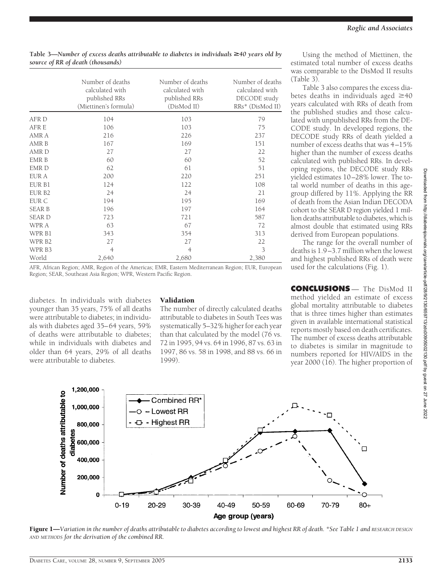| Table 3—Number of excess deaths attributable to diabetes in individuals $\geq$ 40 years old by |  |  |  |
|------------------------------------------------------------------------------------------------|--|--|--|
| source of RR of death (thousands)                                                              |  |  |  |

|                   | Number of deaths<br>calculated with<br>published RRs<br>(Miettinen's formula) | Number of deaths<br>calculated with<br>published RRs<br>(DisMod II) | Number of deaths<br>calculated with<br>DECODE study<br>RRs* (DisMod II) |
|-------------------|-------------------------------------------------------------------------------|---------------------------------------------------------------------|-------------------------------------------------------------------------|
| AFR D             | 104                                                                           | 103                                                                 | 79                                                                      |
| AFR E             | 106                                                                           | 103                                                                 | 75                                                                      |
| AMR A             | 216                                                                           | 226                                                                 | 237                                                                     |
| <b>AMR B</b>      | 167                                                                           | 169                                                                 | 151                                                                     |
| AMR <sub>D</sub>  | 27                                                                            | 27                                                                  | 22                                                                      |
| EMR B             | 60                                                                            | 60                                                                  | 52                                                                      |
| EMR D             | 62                                                                            | 61                                                                  | 51                                                                      |
| <b>EURA</b>       | 200                                                                           | 220                                                                 | 251                                                                     |
| EUR B1            | 124                                                                           | 122                                                                 | 108                                                                     |
| EUR <sub>B2</sub> | 24                                                                            | 24                                                                  | 21                                                                      |
| EUR C             | 194                                                                           | 195                                                                 | 169                                                                     |
| <b>SEAR B</b>     | 196                                                                           | 197                                                                 | 164                                                                     |
| <b>SEARD</b>      | 723                                                                           | 721                                                                 | 587                                                                     |
| WPR A             | 63                                                                            | 67                                                                  | 72                                                                      |
| WPR B1            | 343                                                                           | 354                                                                 | 313                                                                     |
| WPR B2            | 27                                                                            | 27                                                                  | 22                                                                      |
| WPR B3            | $\overline{4}$                                                                | $\overline{4}$                                                      | 3                                                                       |
| World             | 2,640                                                                         | 2,680                                                               | 2,380                                                                   |

AFR, African Region; AMR, Region of the Americas; EMR, Eastern Mediterranean Region; EUR, European Region; SEAR, Southeast Asia Region; WPR, Western Pacific Region.

diabetes. In individuals with diabetes younger than 35 years, 75% of all deaths were attributable to diabetes; in individuals with diabetes aged 35–64 years, 59% of deaths were attributable to diabetes; while in individuals with diabetes and older than 64 years, 29% of all deaths were attributable to diabetes.

## Validation

The number of directly calculated deaths attributable to diabetes in South Tees was systematically 5–32% higher for each year than that calculated by the model (76 vs. 72 in 1995, 94 vs. 64 in 1996, 87 vs. 63 in 1997, 86 vs. 58 in 1998, and 88 vs. 66 in 1999).

Using the method of Miettinen, the estimated total number of excess deaths was comparable to the DisMod II results (Table 3).

Table 3 also compares the excess diabetes deaths in individuals aged  $\geq$ 40 years calculated with RRs of death from the published studies and those calculated with unpublished RRs from the DE-CODE study. In developed regions, the DECODE study RRs of death yielded a number of excess deaths that was 4–15% higher than the number of excess deaths calculated with published RRs. In developing regions, the DECODE study RRs yielded estimates 10–28% lower. The total world number of deaths in this agegroup differed by 11%. Applying the RR of death from the Asian Indian DECODA cohort to the SEAR D region yielded 1 million deaths attributable to diabetes, which is almost double that estimated using RRs derived from European populations.

The range for the overall number of deaths is 1.9–3.7 million when the lowest and highest published RRs of death were used for the calculations (Fig. 1).

**CONCLUSIONS** — The DisMod II method yielded an estimate of excess global mortality attributable to diabetes that is three times higher than estimates given in available international statistical reports mostly based on death certificates. The number of excess deaths attributable to diabetes is similar in magnitude to numbers reported for HIV/AIDS in the year 2000 (16). The higher proportion of



Figure 1—*Variation in the number of deaths attributable to diabetes according to lowest and highest RR of death. \*See Table 1 and RESEARCH DESIGN AND METHODS for the derivation of the combined RR.*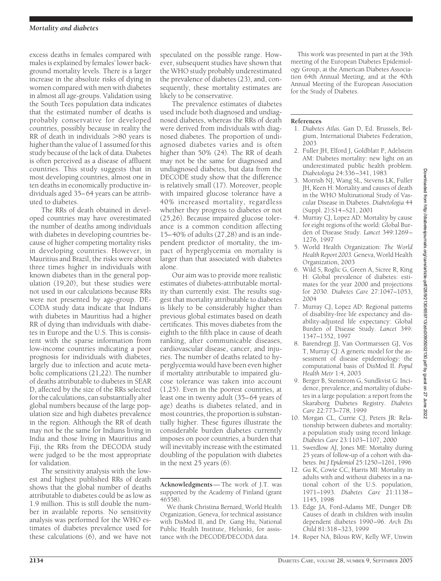excess deaths in females compared with males is explained by females' lower background mortality levels. There is a larger increase in the absolute risks of dying in women compared with men with diabetes in almost all age-groups. Validation using the South Tees population data indicates that the estimated number of deaths is probably conservative for developed countries, possibly because in reality the RR of death in individuals >80 years is higher than the value of 1 assumed for this study because of the lack of data. Diabetes is often perceived as a disease of affluent countries. This study suggests that in most developing countries, almost one in ten deaths in economically productive individuals aged 35–64 years can be attributed to diabetes.

The RRs of death obtained in developed countries may have overestimated the number of deaths among individuals with diabetes in developing countries because of higher competing mortality risks in developing countries. However, in Mauritius and Brazil, the risks were about three times higher in individuals with known diabetes than in the general population (19,20), but these studies were not used in our calculations because RRs were not presented by age-group. DE-CODA study data indicate that Indians with diabetes in Mauritius had a higher RR of dying than individuals with diabetes in Europe and the U.S. This is consistent with the sparse information from low-income countries indicating a poor prognosis for individuals with diabetes, largely due to infection and acute metabolic complications (21,22). The number of deaths attributable to diabetes in SEAR D, affected by the size of the RRs selected for the calculations, can substantially alter global numbers because of the large population size and high diabetes prevalence in the region. Although the RR of death may not be the same for Indians living in India and those living in Mauritius and Fiji, the RRs from the DECODA study were judged to be the most appropriate for validation.

The sensitivity analysis with the lowest and highest published RRs of death shows that the global number of deaths attributable to diabetes could be as low as 1.9 million. This is still double the number in available reports. No sensitivity analysis was performed for the WHO estimates of diabetes prevalence used for these calculations (6), and we have not

speculated on the possible range. However, subsequent studies have shown that the WHO study probably underestimated the prevalence of diabetes (23), and, consequently, these mortality estimates are likely to be conservative.

The prevalence estimates of diabetes used include both diagnosed and undiagnosed diabetes, whereas the RRs of death were derived from individuals with diagnosed diabetes. The proportion of undiagnosed diabetes varies and is often higher than 50% (24). The RR of death may not be the same for diagnosed and undiagnosed diabetes, but data from the DECODE study show that the difference is relatively small (17). Moreover, people with impaired glucose tolerance have a 40% increased mortality, regardless whether they progress to diabetes or not (25,26). Because impaired glucose tolerance is a common condition affecting 15–40% of adults (27,28) and is an independent predictor of mortality, the impact of hyperglycemia on mortality is larger than that associated with diabetes alone.

Our aim was to provide more realistic estimates of diabetes-attributable mortality than currently exist. The results suggest that mortality attributable to diabetes is likely to be considerably higher than previous global estimates based on death certificates. This moves diabetes from the eighth to the fifth place in cause of death ranking, after communicable diseases, cardiovascular disease, cancer, and injuries. The number of deaths related to hyperglycemia would have been even higher if mortality attributable to impaired glucose tolerance was taken into account (1,25). Even in the poorest countries, at least one in twenty adult (35–64 years of age) deaths is diabetes related, and in most countries, the proportion is substantially higher. These figures illustrate the considerable burden diabetes currently imposes on poor countries, a burden that will inevitably increase with the estimated doubling of the population with diabetes in the next 25 years (6).

We thank Christina Bernard, World Health Organization, Geneva, for technical assistance with DisMod II, and Dr. Gang Hu, National Public Health Institute, Helsinki, for assistance with the DECODE/DECODA data.

This work was presented in part at the 39th meeting of the European Diabetes Epidemiology Group, at the American Diabetes Association 64th Annual Meeting, and at the 40th Annual Meeting of the European Association for the Study of Diabetes.

## **References**

- 1. *Diabetes Atlas.* Gan D, Ed. Brussels, Belgium, International Diabetes Federation, 2003
- 2. Fuller JH, Elford J, Goldblatt P, Adelstein AM: Diabetes mortality: new light on an underestimated public health problem. *Diabetologia* 24:336–341, 1983
- 3. Morrish NJ, Wang SL, Stevens LK, Fuller JH, Keen H: Mortality and causes of death in the WHO Multinational Study of Vascular Disease in Diabetes. *Diabetologia* 44 (Suppl. 2):S14–S21, 2001
- 4. Murray CJ, Lopez AD: Mortality by cause for eight regions of the world: Global Burden of Disease Study. *Lancet* 349:1269– 1276, 1997
- 5. World Health Organization: *The World Health Report 2003.*Geneva, World Health Organization, 2003
- 6. Wild S, Roglic G, Green A, Sicree R, King H: Global prevalence of diabetes: estimates for the year 2000 and projections for 2030. *Diabetes Care* 27:1047–1053, 2004
- 7. Murray CJ, Lopez AD: Regional patterns of disability-free life expectancy and disability-adjusted life expectancy: Global Burden of Disease Study. *Lancet* 349: 1347–1352, 1997
- 8. Barendregt JJ, Van Oortmarssen GJ, Vos T, Murray CJ: A generic model for the assessment of disease epidemiology: the computational basis of DisMod II. *Popul Health Metr* 1:4, 2003
- 9. Berger B, Stenstrom G, Sundkvist G: Incidence, prevalence, and mortality of diabetes in a large population: a report from the Skaraborg Diabetes Registry. *Diabetes Care* 22:773–778, 1999
- 10. Morgan CL, Currie CJ, Peters JR: Relationship between diabetes and mortality: a population study using record linkage. *Diabetes Care* 23:1103–1107, 2000
- 11. Swerdlow AJ, Jones ME: Mortality during 25 years of follow-up of a cohort with diabetes. *Int J Epidemiol* 25:1250–1261, 1996
- 12. Gu K, Cowie CC, Harris MI: Mortality in adults with and without diabetes in a national cohort of the U.S. population, 1971–1993. *Diabetes Care* 21:1138– 1145, 1998
- 13. Edge JA, Ford-Adams ME, Dunger DB: Causes of death in children with insulin dependent diabetes 1990–96. *Arch Dis Child* 81:318–323, 1999
- 14. Roper NA, Bilous RW, Kelly WF, Unwin

**Acknowledgments**— The work of J.T. was supported by the Academy of Finland (grant 46558).